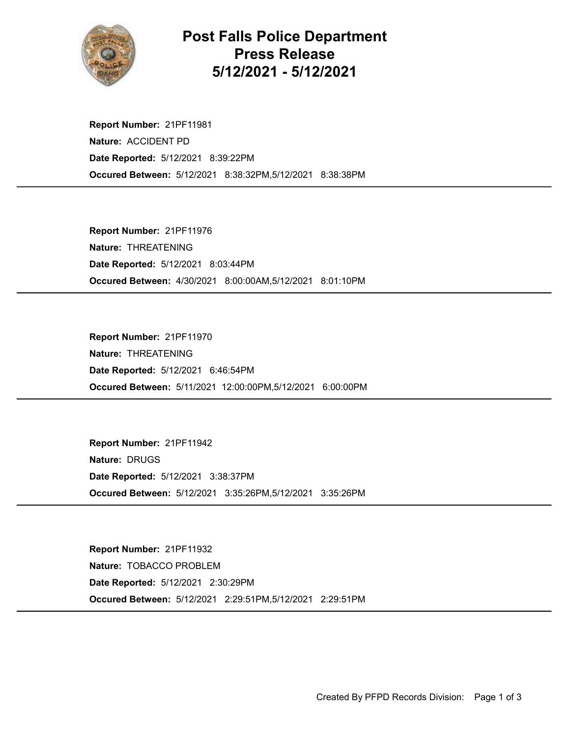

## Post Falls Police Department Press Release 5/12/2021 - 5/12/2021

Occured Between: 5/12/2021 8:38:32PM,5/12/2021 8:38:38PM Report Number: 21PF11981 Nature: ACCIDENT PD Date Reported: 5/12/2021 8:39:22PM

Occured Between: 4/30/2021 8:00:00AM,5/12/2021 8:01:10PM Report Number: 21PF11976 Nature: THREATENING Date Reported: 5/12/2021 8:03:44PM

Occured Between: 5/11/2021 12:00:00PM,5/12/2021 6:00:00PM Report Number: 21PF11970 Nature: THREATENING Date Reported: 5/12/2021 6:46:54PM

Occured Between: 5/12/2021 3:35:26PM,5/12/2021 3:35:26PM Report Number: 21PF11942 Nature: DRUGS Date Reported: 5/12/2021 3:38:37PM

Occured Between: 5/12/2021 2:29:51PM,5/12/2021 2:29:51PM Report Number: 21PF11932 Nature: TOBACCO PROBLEM Date Reported: 5/12/2021 2:30:29PM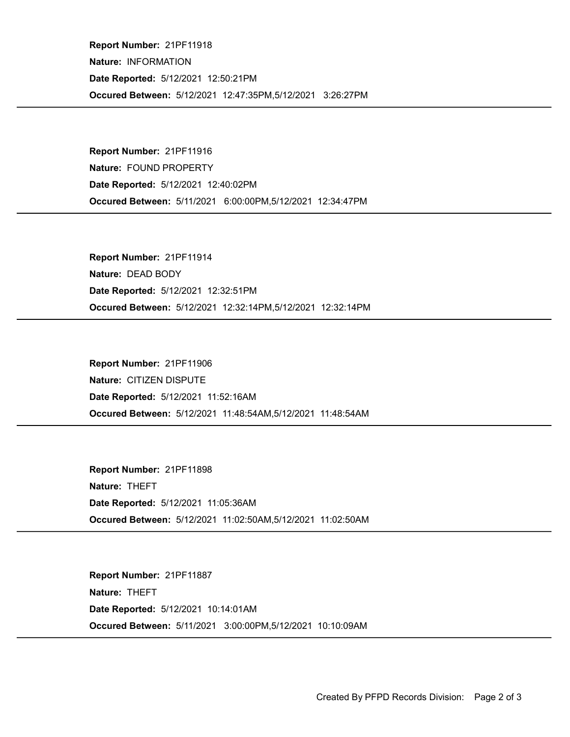Occured Between: 5/12/2021 12:47:35PM,5/12/2021 3:26:27PM Report Number: 21PF11918 Nature: INFORMATION Date Reported: 5/12/2021 12:50:21PM

Occured Between: 5/11/2021 6:00:00PM,5/12/2021 12:34:47PM Report Number: 21PF11916 Nature: FOUND PROPERTY Date Reported: 5/12/2021 12:40:02PM

Occured Between: 5/12/2021 12:32:14PM,5/12/2021 12:32:14PM Report Number: 21PF11914 Nature: DEAD BODY Date Reported: 5/12/2021 12:32:51PM

Occured Between: 5/12/2021 11:48:54AM,5/12/2021 11:48:54AM Report Number: 21PF11906 Nature: CITIZEN DISPUTE Date Reported: 5/12/2021 11:52:16AM

Occured Between: 5/12/2021 11:02:50AM,5/12/2021 11:02:50AM Report Number: 21PF11898 Nature: THEFT Date Reported: 5/12/2021 11:05:36AM

Occured Between: 5/11/2021 3:00:00PM,5/12/2021 10:10:09AM Report Number: 21PF11887 Nature: THEFT Date Reported: 5/12/2021 10:14:01AM